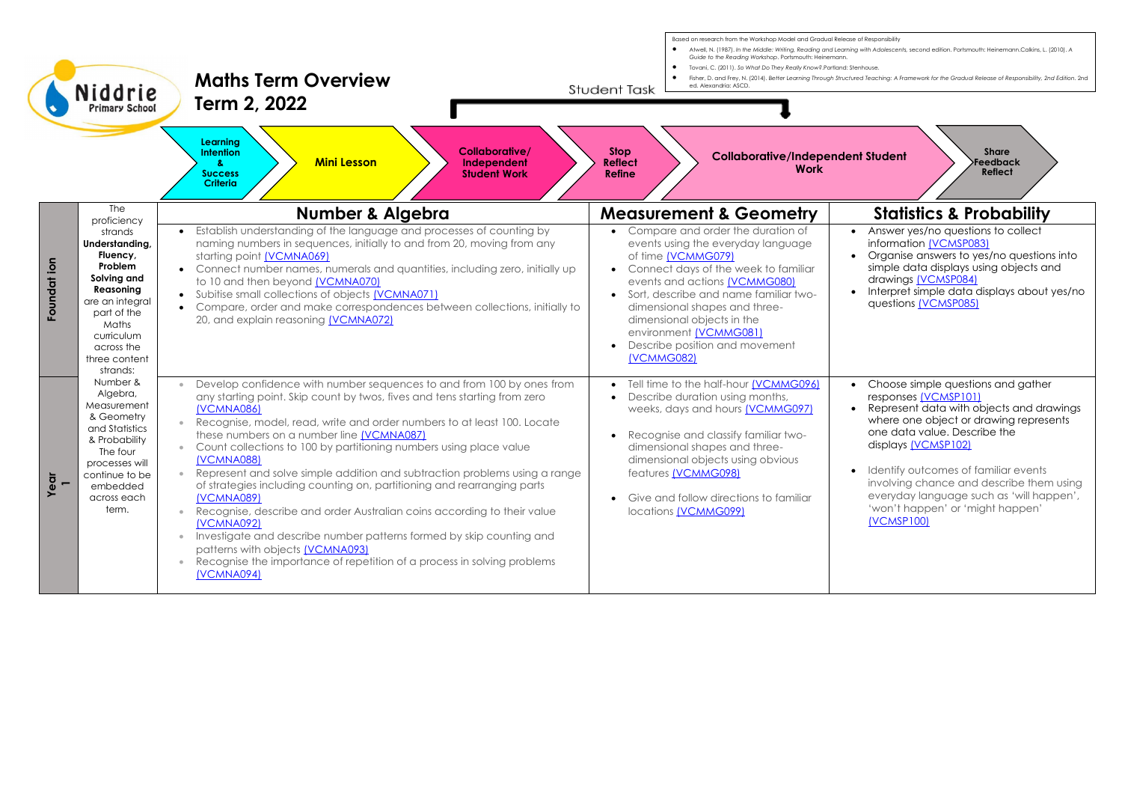

Based on research from the Workshop Model and Gradual Release of Responsibility

- 
- 
- 
-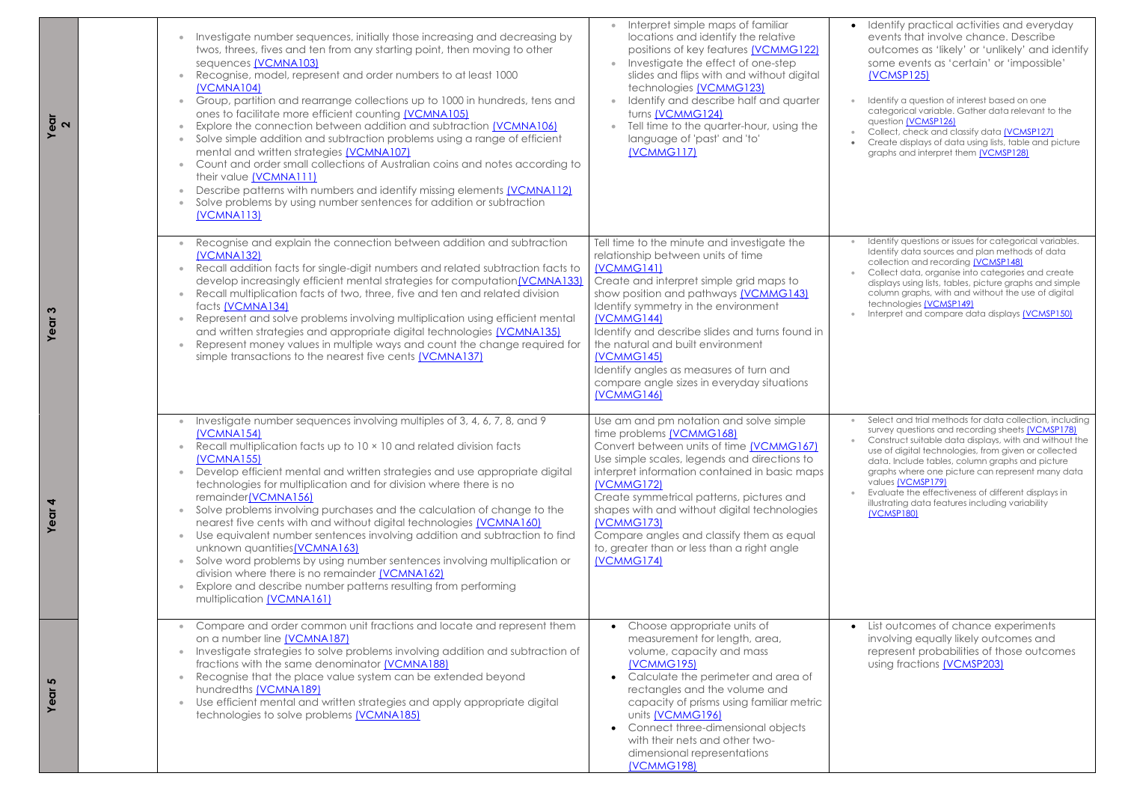**Year**

- Identify practical activities and everyday events that involve chance. Describe outcomes as 'likely' or 'unlikely' and identify some events as 'certain' or 'impossible' [\(VCMSP125\)](https://victoriancurriculum.vcaa.vic.edu.au/Curriculum/ContentDescription/VCMSP125)
- Identify a question of interest based on one categorical variable. Gather data relevant to the questio[n \(VCMSP126\)](https://victoriancurriculum.vcaa.vic.edu.au/Curriculum/ContentDescription/VCMSP126)
- Collect, check and classify dat[a \(VCMSP127\)](https://victoriancurriculum.vcaa.vic.edu.au/Curriculum/ContentDescription/VCMSP127)
- Create displays of data using lists, table and picture graphs and interpret the[m \(VCMSP128\)](https://victoriancurriculum.vcaa.vic.edu.au/Curriculum/ContentDescription/VCMSP128)
- Identify questions or issues for categorical variables. Identify data sources and plan methods of data collection and recording [\(VCMSP148\)](https://victoriancurriculum.vcaa.vic.edu.au/Curriculum/ContentDescription/VCMSP148)
- Collect data, organise into categories and create displays using lists, tables, picture graphs and simple column graphs, with and without the use of digital technologies [\(VCMSP149\)](https://victoriancurriculum.vcaa.vic.edu.au/Curriculum/ContentDescription/VCMSP149)
- Interpret and compare data display[s \(VCMSP150\)](https://victoriancurriculum.vcaa.vic.edu.au/Curriculum/ContentDescription/VCMSP150)

**Year 3**

- Select and trial methods for data collection, including survey questions and recording sheets [\(VCMSP178\)](https://victoriancurriculum.vcaa.vic.edu.au/Curriculum/ContentDescription/VCMSP178)
- Construct suitable data displays, with and without the use of digital technologies, from given or collected data. Include tables, column graphs and picture graphs where one picture can represent many data value[s \(VCMSP179\)](https://victoriancurriculum.vcaa.vic.edu.au/Curriculum/ContentDescription/VCMSP179)
- Evaluate the effectiveness of different displays in illustrating data features including variability [\(VCMSP180\)](https://victoriancurriculum.vcaa.vic.edu.au/Curriculum/ContentDescription/VCMSP180)

|  | Investigate number sequences, initially those increasing and decreasing by<br>$\bullet$<br>twos, threes, fives and ten from any starting point, then moving to other<br>sequences (VCMNA103)<br>Recognise, model, represent and order numbers to at least 1000<br>$\bullet$<br>(VCMNA104)<br>Group, partition and rearrange collections up to 1000 in hundreds, tens and<br>$\bullet$<br>ones to facilitate more efficient counting (VCMNA105)<br>Explore the connection between addition and subtraction [VCMNA106]<br>$\bullet$<br>Solve simple addition and subtraction problems using a range of efficient<br>$\bullet$<br>mental and written strategies (VCMNA107)<br>Count and order small collections of Australian coins and notes according to<br>$\bullet$<br>their value (VCMNA111)<br>Describe patterns with numbers and identify missing elements (VCMNA112)<br>Solve problems by using number sentences for addition or subtraction<br><b>(VCMNA113)</b> | Interpret simple maps of familiar<br>locations and identify the relative<br>positions of key features (VCMMG122)<br>Investigate the effect of one-step<br>slides and flips with and without digital<br>technologies (VCMMG123)<br>Identify and describe half and quarter<br>turns (VCMMG124)<br>Tell time to the quarter-hour, using the<br>language of 'past' and 'to'<br>(VCMMG117)                                                                      |  |
|--|------------------------------------------------------------------------------------------------------------------------------------------------------------------------------------------------------------------------------------------------------------------------------------------------------------------------------------------------------------------------------------------------------------------------------------------------------------------------------------------------------------------------------------------------------------------------------------------------------------------------------------------------------------------------------------------------------------------------------------------------------------------------------------------------------------------------------------------------------------------------------------------------------------------------------------------------------------------------|------------------------------------------------------------------------------------------------------------------------------------------------------------------------------------------------------------------------------------------------------------------------------------------------------------------------------------------------------------------------------------------------------------------------------------------------------------|--|
|  | Recognise and explain the connection between addition and subtraction<br>$\bullet$<br>(VCMNA132)<br>Recall addition facts for single-digit numbers and related subtraction facts to<br>$\bullet$<br>develop increasingly efficient mental strategies for computation (VCMNA133)<br>Recall multiplication facts of two, three, five and ten and related division<br>$\bullet$<br>facts (VCMNA134)<br>Represent and solve problems involving multiplication using efficient mental<br>$\bullet$<br>and written strategies and appropriate digital technologies (VCMNA135)<br>Represent money values in multiple ways and count the change required for<br>$\bullet$<br>simple transactions to the nearest five cents (VCMNA137)                                                                                                                                                                                                                                          | Tell time to the minute and investigate the<br>relationship between units of time<br>(VCMMG141)<br>Create and interpret simple grid maps to<br>show position and pathways (VCMMG143)<br>Identify symmetry in the environment<br>(VCMMG144)<br>Identify and describe slides and turns found in<br>the natural and built environment<br>(VCMMG145)<br>Identify angles as measures of turn and<br>compare angle sizes in everyday situations<br>[VCMMG146]    |  |
|  | Investigate number sequences involving multiples of 3, 4, 6, 7, 8, and 9<br>$\bullet$<br><b>(VCMNA154)</b><br>Recall multiplication facts up to 10 x 10 and related division facts<br>$\bullet$<br>(VCMNA155)<br>Develop efficient mental and written strategies and use appropriate digital<br>$\bullet$<br>technologies for multiplication and for division where there is no<br>remainder(VCMNA156)<br>Solve problems involving purchases and the calculation of change to the<br>$\bullet$<br>nearest five cents with and without digital technologies (VCMNA160)<br>Use equivalent number sentences involving addition and subtraction to find<br>$\bullet$<br>unknown quantities(VCMNA163)<br>Solve word problems by using number sentences involving multiplication or<br>$\bullet$<br>division where there is no remainder (VCMNA162)<br>Explore and describe number patterns resulting from performing<br>multiplication (VCMNA161)                           | Use am and pm notation and solve simple<br>time problems (VCMMG168)<br>Convert between units of time (VCMMG167)<br>Use simple scales, legends and directions to<br>interpret information contained in basic maps<br>(VCMMG172)<br>Create symmetrical patterns, pictures and<br>shapes with and without digital technologies<br>(VCMMG173)<br>Compare angles and classify them as equal<br>to, greater than or less than a right angle<br><b>[VCMMG174]</b> |  |
|  | Compare and order common unit fractions and locate and represent them<br>on a number line (VCMNA187)<br>Investigate strategies to solve problems involving addition and subtraction of<br>$\bullet$<br>fractions with the same denominator (VCMNA188)<br>Recognise that the place value system can be extended beyond<br>hundredths (VCMNA189)<br>Use efficient mental and written strategies and apply appropriate digital<br>$\bullet$<br>technologies to solve problems (VCMNA185)                                                                                                                                                                                                                                                                                                                                                                                                                                                                                  | Choose appropriate units of<br>measurement for length, area,<br>volume, capacity and mass<br><b>(VCMMG195)</b><br>Calculate the perimeter and area of<br>rectangles and the volume and<br>capacity of prisms using familiar metric<br>units (VCMMG196)<br>Connect three-dimensional objects<br>with their nets and other two-<br>dimensional representations<br><b>(VCMMG198)</b>                                                                          |  |

**Year 4**

**Year 5**

• List outcomes of chance experiments involving equally likely outcomes and represent probabilities of those outcomes using fractions [\(VCMSP203\)](https://victoriancurriculum.vcaa.vic.edu.au/Curriculum/ContentDescription/VCMSP203)